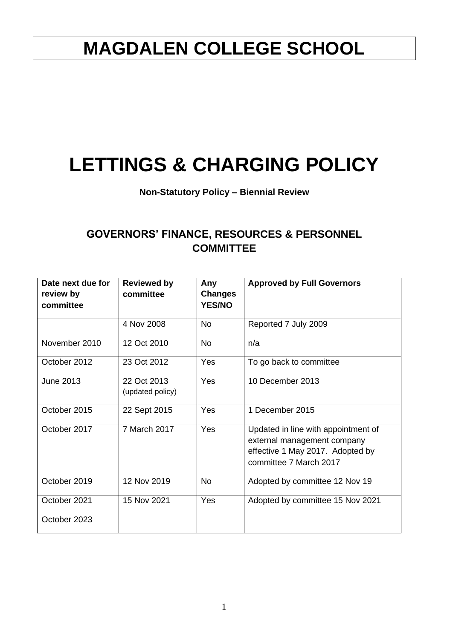## **MAGDALEN COLLEGE SCHOOL**

# **LETTINGS & CHARGING POLICY**

### **Non-Statutory Policy – Biennial Review**

### **GOVERNORS' FINANCE, RESOURCES & PERSONNEL COMMITTEE**

| Date next due for<br>review by<br>committee | <b>Reviewed by</b><br>committee | Any<br><b>Changes</b><br><b>YES/NO</b> | <b>Approved by Full Governors</b>                                                                                                |
|---------------------------------------------|---------------------------------|----------------------------------------|----------------------------------------------------------------------------------------------------------------------------------|
|                                             | 4 Nov 2008                      | <b>No</b>                              | Reported 7 July 2009                                                                                                             |
| November 2010                               | 12 Oct 2010                     | <b>No</b>                              | n/a                                                                                                                              |
| October 2012                                | 23 Oct 2012                     | Yes                                    | To go back to committee                                                                                                          |
| <b>June 2013</b>                            | 22 Oct 2013<br>(updated policy) | Yes                                    | 10 December 2013                                                                                                                 |
| October 2015                                | 22 Sept 2015                    | Yes                                    | 1 December 2015                                                                                                                  |
| October 2017                                | 7 March 2017                    | Yes                                    | Updated in line with appointment of<br>external management company<br>effective 1 May 2017. Adopted by<br>committee 7 March 2017 |
| October 2019                                | 12 Nov 2019                     | <b>No</b>                              | Adopted by committee 12 Nov 19                                                                                                   |
| October 2021                                | 15 Nov 2021                     | Yes                                    | Adopted by committee 15 Nov 2021                                                                                                 |
| October 2023                                |                                 |                                        |                                                                                                                                  |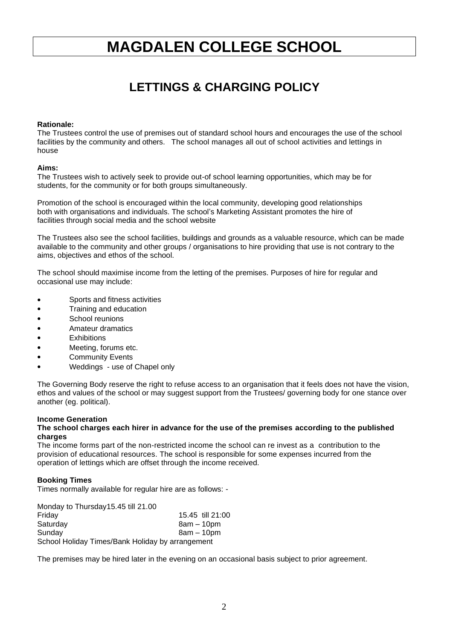## **MAGDALEN COLLEGE SCHOOL**

## **LETTINGS & CHARGING POLICY**

#### **Rationale:**

The Trustees control the use of premises out of standard school hours and encourages the use of the school facilities by the community and others. The school manages all out of school activities and lettings in house

#### **Aims:**

The Trustees wish to actively seek to provide out-of school learning opportunities, which may be for students, for the community or for both groups simultaneously.

Promotion of the school is encouraged within the local community, developing good relationships both with organisations and individuals. The school's Marketing Assistant promotes the hire of facilities through social media and the school website

The Trustees also see the school facilities, buildings and grounds as a valuable resource, which can be made available to the community and other groups / organisations to hire providing that use is not contrary to the aims, objectives and ethos of the school.

The school should maximise income from the letting of the premises. Purposes of hire for regular and occasional use may include:

- Sports and fitness activities
- Training and education
- School reunions
- Amateur dramatics
- **Exhibitions**
- Meeting, forums etc.
- Community Events
- Weddings use of Chapel only

The Governing Body reserve the right to refuse access to an organisation that it feels does not have the vision, ethos and values of the school or may suggest support from the Trustees/ governing body for one stance over another (eg. political).

#### **Income Generation**

#### **The school charges each hirer in advance for the use of the premises according to the published charges**

The income forms part of the non-restricted income the school can re invest as a contribution to the provision of educational resources. The school is responsible for some expenses incurred from the operation of lettings which are offset through the income received.

#### **Booking Times**

Times normally available for regular hire are as follows: -

Monday to Thursday15.45 till 21.00 Friday 15.45 till 21:00 Saturday 8am – 10pm Sunday 8am – 10pm School Holiday Times/Bank Holiday by arrangement

The premises may be hired later in the evening on an occasional basis subject to prior agreement.